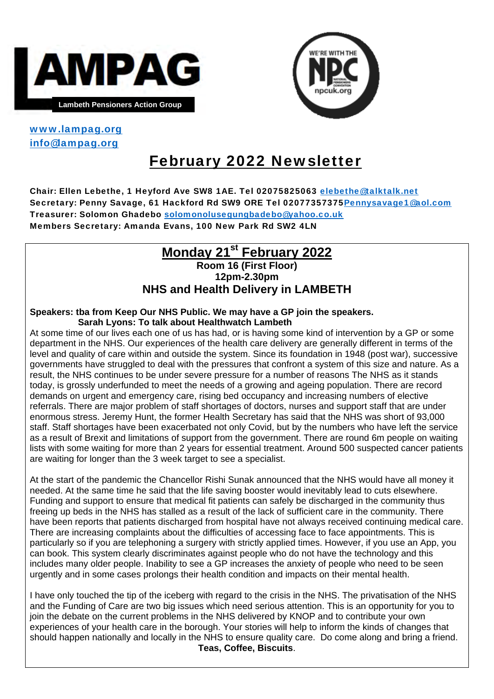



### www.lampag.org info@lampag.org

# February 2022 Newsletter

Chair: Ellen Lebethe, 1 Heyford Ave SW8 1AE. Tel 02075825063 elebethe@talktalk.net Secretary: Penny Savage, 61 Hackford Rd SW9 ORE Tel 02077357375Pennysavage1@aol.com Treasurer: Solomon Ghadebo solomonolusegungbadebo@yahoo.co.uk Members Secretary: Amanda Evans, 100 New Park Rd SW2 4LN

## **Monday 21<sup>st</sup> February 2022**

## **Room 16 (First Floor) 12pm-2.30pm NHS and Health Delivery in LAMBETH**

#### **Speakers: tba from Keep Our NHS Public. We may have a GP join the speakers. Sarah Lyons: To talk about Healthwatch Lambeth**

At some time of our lives each one of us has had, or is having some kind of intervention by a GP or some department in the NHS. Our experiences of the health care delivery are generally different in terms of the level and quality of care within and outside the system. Since its foundation in 1948 (post war), successive governments have struggled to deal with the pressures that confront a system of this size and nature. As a result, the NHS continues to be under severe pressure for a number of reasons The NHS as it stands today, is grossly underfunded to meet the needs of a growing and ageing population. There are record demands on urgent and emergency care, rising bed occupancy and increasing numbers of elective referrals. There are major problem of staff shortages of doctors, nurses and support staff that are under enormous stress. Jeremy Hunt, the former Health Secretary has said that the NHS was short of 93,000 staff. Staff shortages have been exacerbated not only Covid, but by the numbers who have left the service as a result of Brexit and limitations of support from the government. There are round 6m people on waiting lists with some waiting for more than 2 years for essential treatment. Around 500 suspected cancer patients are waiting for longer than the 3 week target to see a specialist.

At the start of the pandemic the Chancellor Rishi Sunak announced that the NHS would have all money it needed. At the same time he said that the life saving booster would inevitably lead to cuts elsewhere. Funding and support to ensure that medical fit patients can safely be discharged in the community thus freeing up beds in the NHS has stalled as a result of the lack of sufficient care in the community. There have been reports that patients discharged from hospital have not always received continuing medical care. There are increasing complaints about the difficulties of accessing face to face appointments. This is particularly so if you are telephoning a surgery with strictly applied times. However, if you use an App, you can book. This system clearly discriminates against people who do not have the technology and this includes many older people. Inability to see a GP increases the anxiety of people who need to be seen urgently and in some cases prolongs their health condition and impacts on their mental health.

I have only touched the tip of the iceberg with regard to the crisis in the NHS. The privatisation of the NHS and the Funding of Care are two big issues which need serious attention. This is an opportunity for you to join the debate on the current problems in the NHS delivered by KNOP and to contribute your own experiences of your health care in the borough. Your stories will help to inform the kinds of changes that should happen nationally and locally in the NHS to ensure quality care. Do come along and bring a friend. **Teas, Coffee, Biscuits**.